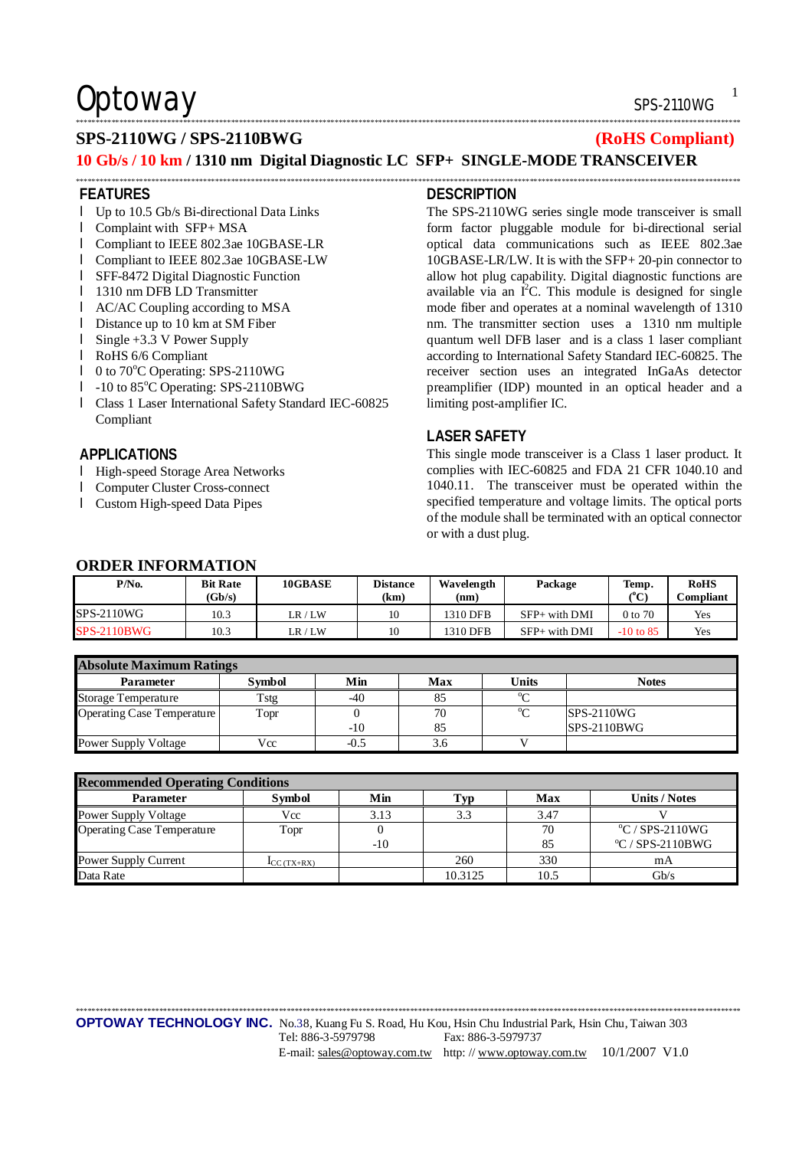## $\mathsf{Obtoway}$  sps-2110WG

**RoHS Compliant**

## **SPS-2110WG / SPS-2110BWG (RoHS Compliant)**

## **10 Gb/s / 10 km / 1310 nm Digital Diagnostic LC SFP+ SINGLE-MODE TRANSCEIVER**

\*\*\*\*\*\*\*\*\*\*\*\*\*\*\*\*\*\*\*\*\*\*\*\*\*\*\*\*\*\*\*\*\*\*\*\*\*\*\*\*\*\*\*\*\*\*\*\*\*\*\*\*\*\*\*\*\*\*\*\*\*\*\*\*\*\*\*\*\*\*\*\*\*\*\*\*\*\*\*\*\*\*\*\*\*\*\*\*\*\*\*\*\*\*\*\*\*\*\*\*\*\*\*\*\*\*\*\*\*\*\*\*\*\*\*\*\*\*\*\*\*\*\*\*\*\*\*\*\*\*\*\*\*\*\*\*\*\*\*\*\*\*\*\*\*\*\*\*\*\*\*\*\*\*\*\*\*\*\*\*\*\*\*\*\*\*\*

\*\*\*\*\*\*\*\*\*\*\*\*\*\*\*\*\*\*\*\*\*\*\*\*\*\*\*\*\*\*\*\*\*\*\*\*\*\*\*\*\*\*\*\*\*\*\*\*\*\*\*\*\*\*\*\*\*\*\*\*\*\*\*\*\*\*\*\*\*\*\*\*\*\*\*\*\*\*\*\*\*\*\*\*\*\*\*\*\*\*\*\*\*\*\*\*\*\*\*\*\*\*\*\*\*\*\*\*\*\*\*\*\*\*\*\*\*\*\*\*\*\*\*\*\*\*\*\*\*\*\*\*\*\*\*\*\*\*\*\*\*\*\*\*\*\*\*\*\*\*\*\*\*\*\*\*\*\*\*\*\*\*\*\*\*\*\*

## **FEATURES**

- l Up to 10.5 Gb/s Bi-directional Data Links
- l Complaint with SFP+ MSA
- l Compliant to IEEE 802.3ae 10GBASE-LR
- l Compliant to IEEE 802.3ae 10GBASE-LW
- l SFF-8472 Digital Diagnostic Function
- l 1310 nm DFB LD Transmitter
- l AC/AC Coupling according to MSA
- l Distance up to 10 km at SM Fiber
- l Single +3.3 V Power Supply
- l RoHS 6/6 Compliant
- l 0 to 70°C Operating: SPS-2110WG
- l -10 to 85°C Operating: SPS-2110BWG
- l Class 1 Laser International Safety Standard IEC-60825 Compliant

## **APPLICATIONS**

- l High-speed Storage Area Networks
- l Computer Cluster Cross-connect
- l Custom High-speed Data Pipes

### **DESCRIPTION**

The SPS-2110WG series single mode transceiver is small form factor pluggable module for bi-directional serial optical data communications such as IEEE 802.3ae 10GBASE-LR/LW. It is with the SFP+ 20-pin connector to allow hot plug capability. Digital diagnostic functions are available via an  $I^2C$ . This module is designed for single mode fiber and operates at a nominal wavelength of 1310 nm. The transmitter section uses a 1310 nm multiple quantum well DFB laser and is a class 1 laser compliant according to International Safety Standard IEC-60825. The receiver section uses an integrated InGaAs detector preamplifier (IDP) mounted in an optical header and a limiting post-amplifier IC.

### **LASER SAFETY**

This single mode transceiver is a Class 1 laser product. It complies with IEC-60825 and FDA 21 CFR 1040.10 and 1040.11. The transceiver must be operated within the specified temperature and voltage limits. The optical ports of the module shall be terminated with an optical connector or with a dust plug.

| <b>ORDER INFORMATION</b> |                           |         |                         |                    |                   |               |                |  |  |  |
|--------------------------|---------------------------|---------|-------------------------|--------------------|-------------------|---------------|----------------|--|--|--|
| P/No.                    | <b>Bit Rate</b><br>(Gb/s) | 10GBASE | <b>Distance</b><br>(km) | Wavelength<br>(nm) | Package           | Temp.<br>(°C) | RoH!<br>Compli |  |  |  |
| <b>SPS-2110WG</b>        | 10.3                      | LR/LM   | 10                      | 1310 DFB           | $SFP+$ with $DMI$ | 0 to 70       | Yes            |  |  |  |
| <b>SPS-2110BWG</b>       | 10.3                      | LR/LM   | 10                      | 1310 DFB           | $SFP+$ with $DMI$ | $-10$ to 85   | Yes            |  |  |  |

### **Absolute Maximum Ratings**  Parameter | Symbol | Min | Max | Units | Notes Storage Temperature Tstg -40 85 <sup>o</sup>C Operating Case Temperature Topr 0 -10 70 85  $^{\circ}$ C SPS-2110WG SPS-2110BWG Power Supply Voltage Vcc 1 -0.5 3.6 V

| <b>Recommended Operating Conditions</b> |                                  |      |         |      |                         |  |  |  |
|-----------------------------------------|----------------------------------|------|---------|------|-------------------------|--|--|--|
| <b>Parameter</b>                        | <b>Symbol</b>                    | Min  | Typ     | Max  | <b>Units / Notes</b>    |  |  |  |
| Power Supply Voltage                    | Vcc                              | 3.13 | 3.3     | 3.47 |                         |  |  |  |
| <b>Operating Case Temperature</b>       | Topr                             |      |         | 70   | $\rm{°C}$ / SPS-2110WG  |  |  |  |
|                                         |                                  | -10  |         | 85   | $\rm{°C}$ / SPS-2110BWG |  |  |  |
| Power Supply Current                    | $\mathbf{I}_{\text{CC}}$ (TX+RX) |      | 260     | 330  | mA                      |  |  |  |
| Data Rate                               |                                  |      | 10.3125 | 10.5 | Gb/s                    |  |  |  |

\*\*\*\*\*\*\*\*\*\*\*\*\*\*\*\*\*\*\*\*\*\*\*\*\*\*\*\*\*\*\*\*\*\*\*\*\*\*\*\*\*\*\*\*\*\*\*\*\*\*\*\*\*\*\*\*\*\*\*\*\*\*\*\*\*\*\*\*\*\*\*\*\*\*\*\*\*\*\*\*\*\*\*\*\*\*\*\*\*\*\*\*\*\*\*\*\*\*\*\*\*\*\*\*\*\*\*\*\*\*\*\*\*\*\*\*\*\*\*\*\*\*\*\*\*\*\*\*\*\*\*\*\*\*\*\*\*\*\*\*\*\*\*\*\*\*\*\*\*\*\*\*\*\*\*\*\*\*\*\*\*\*\*\*\*\*\*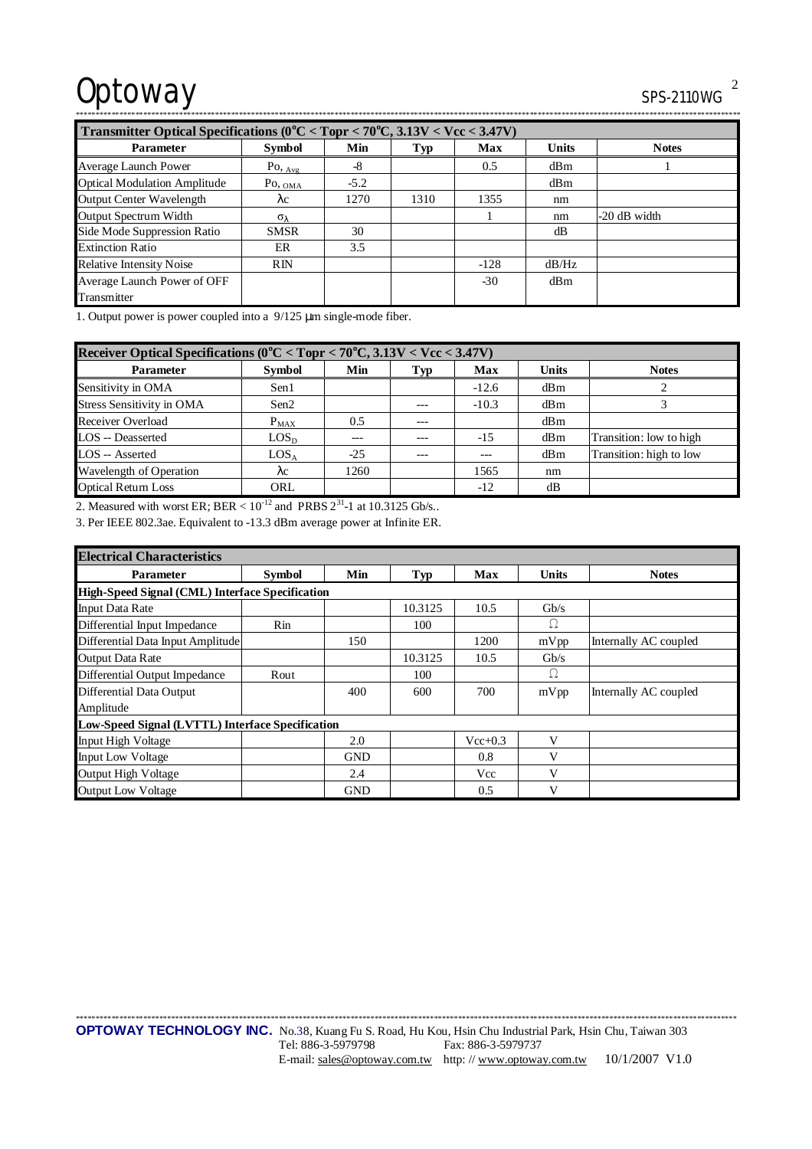# Optoway SPS-2110WG<sup>2</sup>

| <u>UI U LIIU II</u> |  |
|---------------------|--|
|                     |  |

| Transmitter Optical Specifications ( $0^{\circ}$ C < Topr < 70 $^{\circ}$ C, 3.13V < Vcc < 3.47V) |                       |        |      |        |              |                |  |
|---------------------------------------------------------------------------------------------------|-----------------------|--------|------|--------|--------------|----------------|--|
| <b>Parameter</b>                                                                                  | <b>Symbol</b>         | Min    | Тур  | Max    | <b>Units</b> | <b>Notes</b>   |  |
| Average Launch Power                                                                              | $Po, \frac{Avg}{Avg}$ | $-8$   |      | 0.5    | dBm          |                |  |
| <b>Optical Modulation Amplitude</b>                                                               | $P_{\text{O, OMA}}$   | $-5.2$ |      |        | dBm          |                |  |
| Output Center Wavelength                                                                          | $\lambda c$           | 1270   | 1310 | 1355   | nm           |                |  |
| Output Spectrum Width                                                                             | $\sigma_{\lambda}$    |        |      |        | nm           | $-20$ dB width |  |
| Side Mode Suppression Ratio                                                                       | <b>SMSR</b>           | 30     |      |        | dB           |                |  |
| <b>Extinction Ratio</b>                                                                           | ER                    | 3.5    |      |        |              |                |  |
| <b>Relative Intensity Noise</b>                                                                   | RIN                   |        |      | $-128$ | dB/Hz        |                |  |
| Average Launch Power of OFF                                                                       |                       |        |      | $-30$  | dBm          |                |  |
| Transmitter                                                                                       |                       |        |      |        |              |                |  |

1. Output power is power coupled into a 9/125 μm single-mode fiber.

| Receiver Optical Specifications ( $0^{\circ}$ C < Topr < 70 $^{\circ}$ C, 3.13V < Vcc < 3.47V) |               |       |         |            |              |                         |  |
|------------------------------------------------------------------------------------------------|---------------|-------|---------|------------|--------------|-------------------------|--|
| <b>Parameter</b>                                                                               | <b>Symbol</b> | Min   | Typ     | <b>Max</b> | <b>Units</b> | <b>Notes</b>            |  |
| Sensitivity in OMA                                                                             | Sen1          |       |         | $-12.6$    | dBm          |                         |  |
| <b>Stress Sensitivity in OMA</b>                                                               | Sen2          |       | $---$   | $-10.3$    | dBm          |                         |  |
| Receiver Overload                                                                              | $P_{MAX}$     | 0.5   | $- - -$ |            | dBm          |                         |  |
| LOS -- Deasserted                                                                              | $LOS_{D}$     | ---   | ---     | $-15$      | dBm          | Transition: low to high |  |
| LOS -- Asserted                                                                                | $LOS_A$       | $-25$ | $---$   | ---        | dBm          | Transition: high to low |  |
| Wavelength of Operation                                                                        | $\lambda c$   | 1260  |         | 1565       | nm           |                         |  |
| <b>Optical Return Loss</b>                                                                     | ORL           |       |         | $-12$      | dB           |                         |  |

2. Measured with worst ER; BER  $< 10^{-12}$  and PRBS  $2^{31}$ -1 at 10.3125 Gb/s..

3. Per IEEE 802.3ae. Equivalent to -13.3 dBm average power at Infinite ER.

| <b>Electrical Characteristics</b>                |               |            |            |             |              |                       |  |  |  |
|--------------------------------------------------|---------------|------------|------------|-------------|--------------|-----------------------|--|--|--|
| <b>Parameter</b>                                 | <b>Symbol</b> | Min        | <b>Typ</b> | Max         | Units        | <b>Notes</b>          |  |  |  |
| High-Speed Signal (CML) Interface Specification  |               |            |            |             |              |                       |  |  |  |
| <b>Input Data Rate</b>                           |               |            | 10.3125    | 10.5        | $\rm{Gb/s}$  |                       |  |  |  |
| Differential Input Impedance                     | Rin           |            | 100        |             | Ω            |                       |  |  |  |
| Differential Data Input Amplitude                |               | 150        |            | 1200        | mVpp         | Internally AC coupled |  |  |  |
| Output Data Rate                                 |               |            | 10.3125    | 10.5        | Gb/s         |                       |  |  |  |
| Differential Output Impedance                    | Rout          |            | 100        |             | Ω            |                       |  |  |  |
| Differential Data Output                         |               | 400        | 600        | 700         | mVpp         | Internally AC coupled |  |  |  |
| Amplitude                                        |               |            |            |             |              |                       |  |  |  |
| Low-Speed Signal (LVTTL) Interface Specification |               |            |            |             |              |                       |  |  |  |
| <b>Input High Voltage</b>                        |               | 2.0        |            | $Vec{+}0.3$ | V            |                       |  |  |  |
| <b>Input Low Voltage</b>                         |               | <b>GND</b> |            | 0.8         | V            |                       |  |  |  |
| Output High Voltage                              |               | 2.4        |            | Vcc         | $\mathbf{V}$ |                       |  |  |  |
| <b>Output Low Voltage</b>                        |               | <b>GND</b> |            | 0.5         | V            |                       |  |  |  |

\*\*\*\*\*\*\*\*\*\*\*\*\*\*\*\*\*\*\*\*\*\*\*\*\*\*\*\*\*\*\*\*\*\*\*\*\*\*\*\*\*\*\*\*\*\*\*\*\*\*\*\*\*\*\*\*\*\*\*\*\*\*\*\*\*\*\*\*\*\*\*\*\*\*\*\*\*\*\*\*\*\*\*\*\*\*\*\*\*\*\*\*\*\*\*\*\*\*\*\*\*\*\*\*\*\*\*\*\*\*\*\*\*\*\*\*\*\*\*\*\*\*\*\*\*\*\*\*\*\*\*\*\*\*\*\*\*\*\*\*\*\*\*\*\*\*\*\*\*\*\*\*\*\*\*\*\*\*\*\*\*\*\*\*\*\*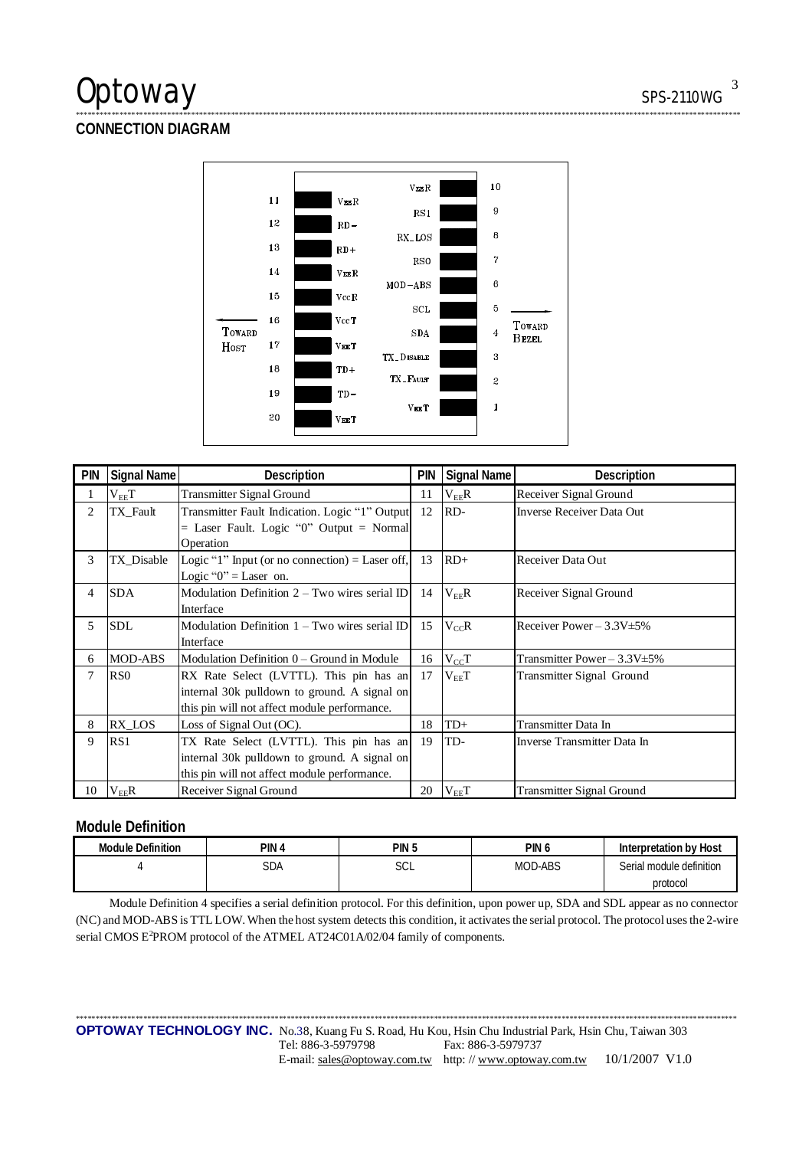## Optoway SPS-2110WG

## **CONNECTION DIAGRAM**



\*\*\*\*\*\*\*\*\*\*\*\*\*\*\*\*\*\*\*\*\*\*\*\*\*\*\*\*\*\*\*\*\*\*\*\*\*\*\*\*\*\*\*\*\*\*\*\*\*\*\*\*\*\*\*\*\*\*\*\*\*\*\*\*\*\*\*\*\*\*\*\*\*\*\*\*\*\*\*\*\*\*\*\*\*\*\*\*\*\*\*\*\*\*\*\*\*\*\*\*\*\*\*\*\*\*\*\*\*\*\*\*\*\*\*\*\*\*\*\*\*\*\*\*\*\*\*\*\*\*\*\*\*\*\*\*\*\*\*\*\*\*\*\*\*\*\*\*\*\*\*\*\*\*\*\*\*\*\*\*\*\*\*\*\*\*\*

| <b>PIN</b> | Signal Name     | Description                                     | <b>PIN</b> | Signal Name | Description                       |
|------------|-----------------|-------------------------------------------------|------------|-------------|-----------------------------------|
| 1          | $\rm V_{EE}T$   | <b>Transmitter Signal Ground</b>                | 11         | $V_{EE}R$   | Receiver Signal Ground            |
| 2          | TX_Fault        | Transmitter Fault Indication. Logic "1" Output  | 12         | RD-         | <b>Inverse Receiver Data Out</b>  |
|            |                 | $=$ Laser Fault. Logic "0" Output $=$ Normal    |            |             |                                   |
|            |                 | Operation                                       |            |             |                                   |
| 3          | TX Disable      | Logic "1" Input (or no connection) = Laser off, | 13         | $RD+$       | Receiver Data Out                 |
|            |                 | Logic " $0$ " = Laser on.                       |            |             |                                   |
| 4          | <b>SDA</b>      | Modulation Definition $2 - Two$ wires serial ID | 14         | $V_{EF}R$   | Receiver Signal Ground            |
|            |                 | Interface                                       |            |             |                                   |
| 5          | <b>SDL</b>      | Modulation Definition 1 – Two wires serial ID   | 15         | $V_{cc}R$   | Receiver Power $-3.3V \pm 5\%$    |
|            |                 | Interface                                       |            |             |                                   |
| 6          | MOD-ABS         | Modulation Definition 0 – Ground in Module      | 16         | $V_{CC}T$   | Transmitter Power $-3.3V \pm 5\%$ |
| 7          | R <sub>S0</sub> | RX Rate Select (LVTTL). This pin has an         | 17         | $V_{EE}T$   | Transmitter Signal Ground         |
|            |                 | internal 30k pulldown to ground. A signal on    |            |             |                                   |
|            |                 | this pin will not affect module performance.    |            |             |                                   |
| 8          | RX LOS          | Loss of Signal Out (OC).                        | 18         | $TD+$       | Transmitter Data In               |
| 9          | RS1             | TX Rate Select (LVTTL). This pin has an         | 19         | TD-         | Inverse Transmitter Data In       |
|            |                 | internal 30k pulldown to ground. A signal on    |            |             |                                   |
|            |                 | this pin will not affect module performance.    |            |             |                                   |
| 10         | $V_{EE}R$       | Receiver Signal Ground                          | 20         | $V_{EE}T$   | <b>Transmitter Signal Ground</b>  |

## **Module Definition**

| <b>Module Definition</b> | pin<br>൧ | <b>PIN</b><br>ل. | PIN U          | Interpretation by Host   |
|--------------------------|----------|------------------|----------------|--------------------------|
|                          | SDA      | $\sim$<br>ししに    | <b>MOD-ABS</b> | Serial module definition |
|                          |          |                  |                | protocol                 |

Module Definition 4 specifies a serial definition protocol. For this definition, upon power up, SDA and SDL appear as no connector (NC) and MOD-ABS is TTL LOW. When the host system detects this condition, it activates the serial protocol. The protocol uses the 2-wire serial CMOS E<sup>2</sup>PROM protocol of the ATMEL AT24C01A/02/04 family of components.

\*\*\*\*\*\*\*\*\*\*\*\*\*\*\*\*\*\*\*\*\*\*\*\*\*\*\*\*\*\*\*\*\*\*\*\*\*\*\*\*\*\*\*\*\*\*\*\*\*\*\*\*\*\*\*\*\*\*\*\*\*\*\*\*\*\*\*\*\*\*\*\*\*\*\*\*\*\*\*\*\*\*\*\*\*\*\*\*\*\*\*\*\*\*\*\*\*\*\*\*\*\*\*\*\*\*\*\*\*\*\*\*\*\*\*\*\*\*\*\*\*\*\*\*\*\*\*\*\*\*\*\*\*\*\*\*\*\*\*\*\*\*\*\*\*\*\*\*\*\*\*\*\*\*\*\*\*\*\*\*\*\*\*\*\*\*